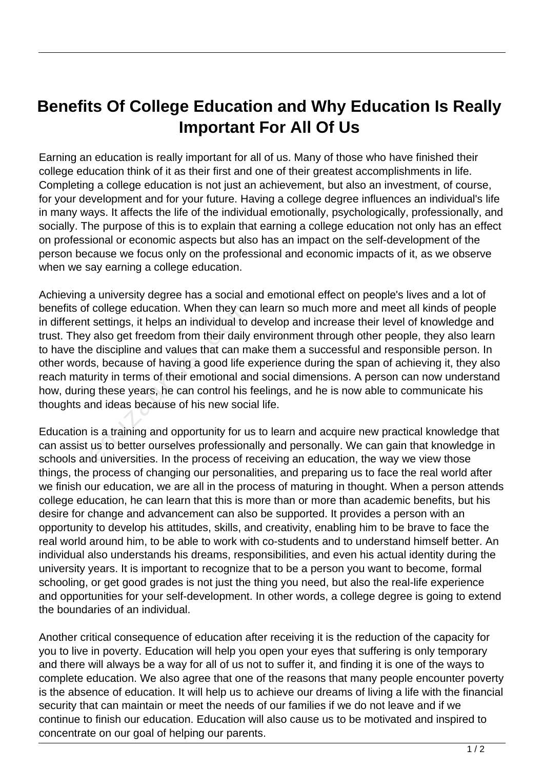## **Benefits Of College Education and Why Education Is Really Important For All Of Us**

Earning an education is really important for all of us. Many of those who have finished their college education think of it as their first and one of their greatest accomplishments in life. Completing a college education is not just an achievement, but also an investment, of course, for your development and for your future. Having a college degree influences an individual's life in many ways. It affects the life of the individual emotionally, psychologically, professionally, and socially. The purpose of this is to explain that earning a college education not only has an effect on professional or economic aspects but also has an impact on the self-development of the person because we focus only on the professional and economic impacts of it, as we observe when we say earning a college education.

Achieving a university degree has a social and emotional effect on people's lives and a lot of benefits of college education. When they can learn so much more and meet all kinds of people in different settings, it helps an individual to develop and increase their level of knowledge and trust. They also get freedom from their daily environment through other people, they also learn to have the discipline and values that can make them a successful and responsible person. In other words, because of having a good life experience during the span of achieving it, they also reach maturity in terms of their emotional and social dimensions. A person can now understand how, during these years, he can control his feelings, and he is now able to communicate his thoughts and ideas because of his new social life. college education. When they calcustings, it helps an individual to or also get freedom from their daily a discipline and values that can mais, because of having a good life e urity in terms of their emotional and g these

Education is a training and opportunity for us to learn and acquire new practical knowledge that can assist us to better ourselves professionally and personally. We can gain that knowledge in schools and universities. In the process of receiving an education, the way we view those things, the process of changing our personalities, and preparing us to face the real world after we finish our education, we are all in the process of maturing in thought. When a person attends college education, he can learn that this is more than or more than academic benefits, but his desire for change and advancement can also be supported. It provides a person with an opportunity to develop his attitudes, skills, and creativity, enabling him to be brave to face the real world around him, to be able to work with co-students and to understand himself better. An individual also understands his dreams, responsibilities, and even his actual identity during the university years. It is important to recognize that to be a person you want to become, formal schooling, or get good grades is not just the thing you need, but also the real-life experience and opportunities for your self-development. In other words, a college degree is going to extend the boundaries of an individual.

Another critical consequence of education after receiving it is the reduction of the capacity for you to live in poverty. Education will help you open your eyes that suffering is only temporary and there will always be a way for all of us not to suffer it, and finding it is one of the ways to complete education. We also agree that one of the reasons that many people encounter poverty is the absence of education. It will help us to achieve our dreams of living a life with the financial security that can maintain or meet the needs of our families if we do not leave and if we continue to finish our education. Education will also cause us to be motivated and inspired to concentrate on our goal of helping our parents.